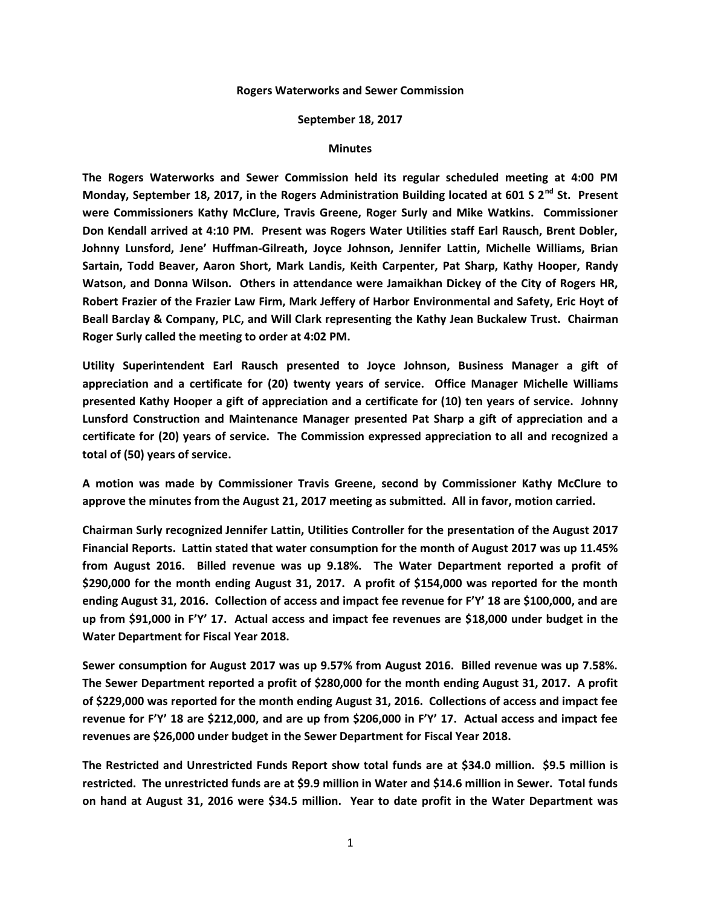## **Rogers Waterworks and Sewer Commission**

## **September 18, 2017**

## **Minutes**

**The Rogers Waterworks and Sewer Commission held its regular scheduled meeting at 4:00 PM Monday, September 18, 2017, in the Rogers Administration Building located at 601 S 2nd St. Present were Commissioners Kathy McClure, Travis Greene, Roger Surly and Mike Watkins. Commissioner Don Kendall arrived at 4:10 PM. Present was Rogers Water Utilities staff Earl Rausch, Brent Dobler, Johnny Lunsford, Jene' Huffman-Gilreath, Joyce Johnson, Jennifer Lattin, Michelle Williams, Brian Sartain, Todd Beaver, Aaron Short, Mark Landis, Keith Carpenter, Pat Sharp, Kathy Hooper, Randy Watson, and Donna Wilson. Others in attendance were Jamaikhan Dickey of the City of Rogers HR, Robert Frazier of the Frazier Law Firm, Mark Jeffery of Harbor Environmental and Safety, Eric Hoyt of Beall Barclay & Company, PLC, and Will Clark representing the Kathy Jean Buckalew Trust. Chairman Roger Surly called the meeting to order at 4:02 PM.**

**Utility Superintendent Earl Rausch presented to Joyce Johnson, Business Manager a gift of appreciation and a certificate for (20) twenty years of service. Office Manager Michelle Williams presented Kathy Hooper a gift of appreciation and a certificate for (10) ten years of service. Johnny Lunsford Construction and Maintenance Manager presented Pat Sharp a gift of appreciation and a certificate for (20) years of service. The Commission expressed appreciation to all and recognized a total of (50) years of service.**

**A motion was made by Commissioner Travis Greene, second by Commissioner Kathy McClure to approve the minutes from the August 21, 2017 meeting as submitted. All in favor, motion carried.**

**Chairman Surly recognized Jennifer Lattin, Utilities Controller for the presentation of the August 2017 Financial Reports. Lattin stated that water consumption for the month of August 2017 was up 11.45% from August 2016. Billed revenue was up 9.18%. The Water Department reported a profit of \$290,000 for the month ending August 31, 2017. A profit of \$154,000 was reported for the month ending August 31, 2016. Collection of access and impact fee revenue for F'Y' 18 are \$100,000, and are up from \$91,000 in F'Y' 17. Actual access and impact fee revenues are \$18,000 under budget in the Water Department for Fiscal Year 2018.**

**Sewer consumption for August 2017 was up 9.57% from August 2016. Billed revenue was up 7.58%. The Sewer Department reported a profit of \$280,000 for the month ending August 31, 2017. A profit of \$229,000 was reported for the month ending August 31, 2016. Collections of access and impact fee revenue for F'Y' 18 are \$212,000, and are up from \$206,000 in F'Y' 17. Actual access and impact fee revenues are \$26,000 under budget in the Sewer Department for Fiscal Year 2018.**

**The Restricted and Unrestricted Funds Report show total funds are at \$34.0 million. \$9.5 million is restricted. The unrestricted funds are at \$9.9 million in Water and \$14.6 million in Sewer. Total funds on hand at August 31, 2016 were \$34.5 million. Year to date profit in the Water Department was**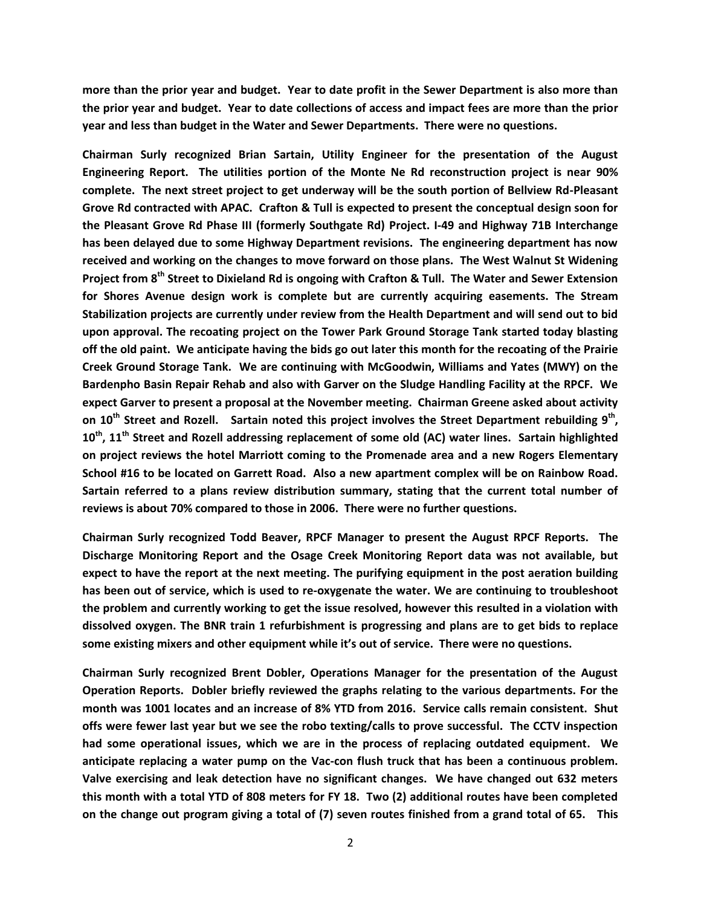**more than the prior year and budget. Year to date profit in the Sewer Department is also more than the prior year and budget. Year to date collections of access and impact fees are more than the prior year and less than budget in the Water and Sewer Departments. There were no questions.**

**Chairman Surly recognized Brian Sartain, Utility Engineer for the presentation of the August Engineering Report. The utilities portion of the Monte Ne Rd reconstruction project is near 90% complete. The next street project to get underway will be the south portion of Bellview Rd-Pleasant Grove Rd contracted with APAC. Crafton & Tull is expected to present the conceptual design soon for the Pleasant Grove Rd Phase III (formerly Southgate Rd) Project. I-49 and Highway 71B Interchange has been delayed due to some Highway Department revisions. The engineering department has now received and working on the changes to move forward on those plans. The West Walnut St Widening Project from 8th Street to Dixieland Rd is ongoing with Crafton & Tull. The Water and Sewer Extension for Shores Avenue design work is complete but are currently acquiring easements. The Stream Stabilization projects are currently under review from the Health Department and will send out to bid upon approval. The recoating project on the Tower Park Ground Storage Tank started today blasting off the old paint. We anticipate having the bids go out later this month for the recoating of the Prairie Creek Ground Storage Tank. We are continuing with McGoodwin, Williams and Yates (MWY) on the Bardenpho Basin Repair Rehab and also with Garver on the Sludge Handling Facility at the RPCF. We expect Garver to present a proposal at the November meeting. Chairman Greene asked about activity on 10th Street and Rozell. Sartain noted this project involves the Street Department rebuilding 9th , 10th, 11th Street and Rozell addressing replacement of some old (AC) water lines. Sartain highlighted on project reviews the hotel Marriott coming to the Promenade area and a new Rogers Elementary School #16 to be located on Garrett Road. Also a new apartment complex will be on Rainbow Road. Sartain referred to a plans review distribution summary, stating that the current total number of reviews is about 70% compared to those in 2006. There were no further questions.**

**Chairman Surly recognized Todd Beaver, RPCF Manager to present the August RPCF Reports. The Discharge Monitoring Report and the Osage Creek Monitoring Report data was not available, but expect to have the report at the next meeting. The purifying equipment in the post aeration building has been out of service, which is used to re-oxygenate the water. We are continuing to troubleshoot the problem and currently working to get the issue resolved, however this resulted in a violation with dissolved oxygen. The BNR train 1 refurbishment is progressing and plans are to get bids to replace some existing mixers and other equipment while it's out of service. There were no questions.**

**Chairman Surly recognized Brent Dobler, Operations Manager for the presentation of the August Operation Reports. Dobler briefly reviewed the graphs relating to the various departments. For the month was 1001 locates and an increase of 8% YTD from 2016. Service calls remain consistent. Shut offs were fewer last year but we see the robo texting/calls to prove successful. The CCTV inspection had some operational issues, which we are in the process of replacing outdated equipment. We anticipate replacing a water pump on the Vac-con flush truck that has been a continuous problem. Valve exercising and leak detection have no significant changes. We have changed out 632 meters this month with a total YTD of 808 meters for FY 18. Two (2) additional routes have been completed on the change out program giving a total of (7) seven routes finished from a grand total of 65. This**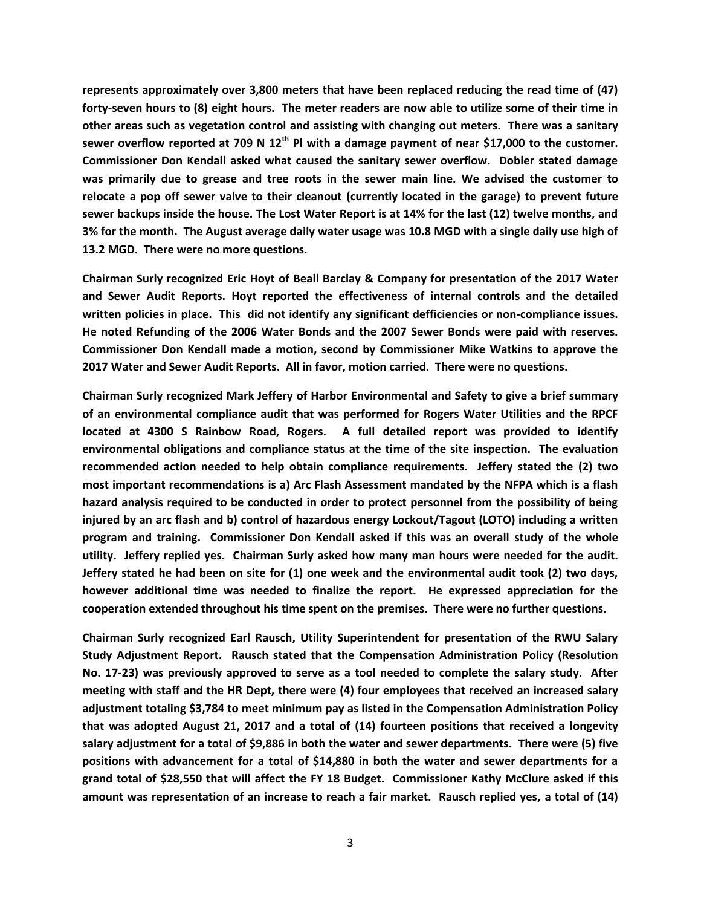**represents approximately over 3,800 meters that have been replaced reducing the read time of (47) forty-seven hours to (8) eight hours. The meter readers are now able to utilize some of their time in other areas such as vegetation control and assisting with changing out meters. There was a sanitary sewer overflow reported at 709 N 12th Pl with a damage payment of near \$17,000 to the customer. Commissioner Don Kendall asked what caused the sanitary sewer overflow. Dobler stated damage was primarily due to grease and tree roots in the sewer main line. We advised the customer to relocate a pop off sewer valve to their cleanout (currently located in the garage) to prevent future sewer backups inside the house. The Lost Water Report is at 14% for the last (12) twelve months, and 3% for the month. The August average daily water usage was 10.8 MGD with a single daily use high of 13.2 MGD. There were no more questions.**

**Chairman Surly recognized Eric Hoyt of Beall Barclay & Company for presentation of the 2017 Water and Sewer Audit Reports. Hoyt reported the effectiveness of internal controls and the detailed written policies in place. This did not identify any significant defficiencies or non-compliance issues. He noted Refunding of the 2006 Water Bonds and the 2007 Sewer Bonds were paid with reserves. Commissioner Don Kendall made a motion, second by Commissioner Mike Watkins to approve the 2017 Water and Sewer Audit Reports. All in favor, motion carried. There were no questions.**

**Chairman Surly recognized Mark Jeffery of Harbor Environmental and Safety to give a brief summary of an environmental compliance audit that was performed for Rogers Water Utilities and the RPCF located at 4300 S Rainbow Road, Rogers. A full detailed report was provided to identify environmental obligations and compliance status at the time of the site inspection. The evaluation recommended action needed to help obtain compliance requirements. Jeffery stated the (2) two most important recommendations is a) Arc Flash Assessment mandated by the NFPA which is a flash hazard analysis required to be conducted in order to protect personnel from the possibility of being injured by an arc flash and b) control of hazardous energy Lockout/Tagout (LOTO) including a written program and training. Commissioner Don Kendall asked if this was an overall study of the whole utility. Jeffery replied yes. Chairman Surly asked how many man hours were needed for the audit. Jeffery stated he had been on site for (1) one week and the environmental audit took (2) two days, however additional time was needed to finalize the report. He expressed appreciation for the cooperation extended throughout his time spent on the premises. There were no further questions.**

**Chairman Surly recognized Earl Rausch, Utility Superintendent for presentation of the RWU Salary Study Adjustment Report. Rausch stated that the Compensation Administration Policy (Resolution No. 17-23) was previously approved to serve as a tool needed to complete the salary study. After meeting with staff and the HR Dept, there were (4) four employees that received an increased salary adjustment totaling \$3,784 to meet minimum pay as listed in the Compensation Administration Policy that was adopted August 21, 2017 and a total of (14) fourteen positions that received a longevity salary adjustment for a total of \$9,886 in both the water and sewer departments. There were (5) five positions with advancement for a total of \$14,880 in both the water and sewer departments for a grand total of \$28,550 that will affect the FY 18 Budget. Commissioner Kathy McClure asked if this amount was representation of an increase to reach a fair market. Rausch replied yes, a total of (14)**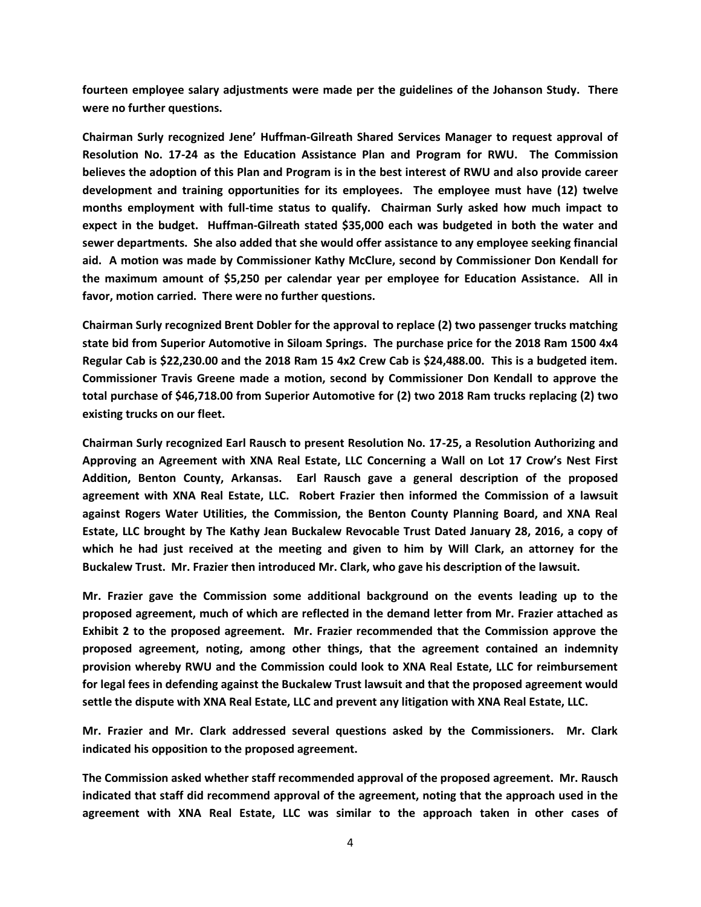**fourteen employee salary adjustments were made per the guidelines of the Johanson Study. There were no further questions.**

**Chairman Surly recognized Jene' Huffman-Gilreath Shared Services Manager to request approval of Resolution No. 17-24 as the Education Assistance Plan and Program for RWU. The Commission believes the adoption of this Plan and Program is in the best interest of RWU and also provide career development and training opportunities for its employees. The employee must have (12) twelve months employment with full-time status to qualify. Chairman Surly asked how much impact to expect in the budget. Huffman-Gilreath stated \$35,000 each was budgeted in both the water and sewer departments. She also added that she would offer assistance to any employee seeking financial aid. A motion was made by Commissioner Kathy McClure, second by Commissioner Don Kendall for the maximum amount of \$5,250 per calendar year per employee for Education Assistance. All in favor, motion carried. There were no further questions.**

**Chairman Surly recognized Brent Dobler for the approval to replace (2) two passenger trucks matching state bid from Superior Automotive in Siloam Springs. The purchase price for the 2018 Ram 1500 4x4 Regular Cab is \$22,230.00 and the 2018 Ram 15 4x2 Crew Cab is \$24,488.00. This is a budgeted item. Commissioner Travis Greene made a motion, second by Commissioner Don Kendall to approve the total purchase of \$46,718.00 from Superior Automotive for (2) two 2018 Ram trucks replacing (2) two existing trucks on our fleet.**

**Chairman Surly recognized Earl Rausch to present Resolution No. 17-25, a Resolution Authorizing and Approving an Agreement with XNA Real Estate, LLC Concerning a Wall on Lot 17 Crow's Nest First Addition, Benton County, Arkansas. Earl Rausch gave a general description of the proposed agreement with XNA Real Estate, LLC. Robert Frazier then informed the Commission of a lawsuit against Rogers Water Utilities, the Commission, the Benton County Planning Board, and XNA Real Estate, LLC brought by The Kathy Jean Buckalew Revocable Trust Dated January 28, 2016, a copy of which he had just received at the meeting and given to him by Will Clark, an attorney for the Buckalew Trust. Mr. Frazier then introduced Mr. Clark, who gave his description of the lawsuit.**

**Mr. Frazier gave the Commission some additional background on the events leading up to the proposed agreement, much of which are reflected in the demand letter from Mr. Frazier attached as Exhibit 2 to the proposed agreement. Mr. Frazier recommended that the Commission approve the proposed agreement, noting, among other things, that the agreement contained an indemnity provision whereby RWU and the Commission could look to XNA Real Estate, LLC for reimbursement for legal fees in defending against the Buckalew Trust lawsuit and that the proposed agreement would settle the dispute with XNA Real Estate, LLC and prevent any litigation with XNA Real Estate, LLC.**

**Mr. Frazier and Mr. Clark addressed several questions asked by the Commissioners. Mr. Clark indicated his opposition to the proposed agreement.**

**The Commission asked whether staff recommended approval of the proposed agreement. Mr. Rausch indicated that staff did recommend approval of the agreement, noting that the approach used in the agreement with XNA Real Estate, LLC was similar to the approach taken in other cases of**